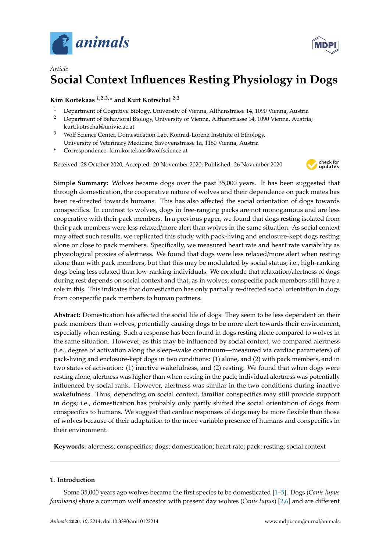



# *Article* **Social Context Influences Resting Physiology in Dogs**

# **Kim Kortekaas 1,2,3,\* and Kurt Kotrschal 2,3**

- <sup>1</sup> Department of Cognitive Biology, University of Vienna, Althanstrasse 14, 1090 Vienna, Austria<sup>2</sup> Department of Bohavieral Biology, University of Vienna, Althanstrasse 14, 1090 Vienna, Austria
- <sup>2</sup> Department of Behavioral Biology, University of Vienna, Althanstrasse 14, 1090 Vienna, Austria; kurt.kotrschal@univie.ac.at
- <sup>3</sup> Wolf Science Center, Domestication Lab, Konrad-Lorenz Institute of Ethology, University of Veterinary Medicine, Savoyenstrasse 1a, 1160 Vienna, Austria
- **\*** Correspondence: kim.kortekaas@wolfscience.at

Received: 28 October 2020; Accepted: 20 November 2020; Published: 26 November 2020



**Simple Summary:** Wolves became dogs over the past 35,000 years. It has been suggested that through domestication, the cooperative nature of wolves and their dependence on pack mates has been re-directed towards humans. This has also affected the social orientation of dogs towards conspecifics. In contrast to wolves, dogs in free-ranging packs are not monogamous and are less cooperative with their pack members. In a previous paper, we found that dogs resting isolated from their pack members were less relaxed/more alert than wolves in the same situation. As social context may affect such results, we replicated this study with pack-living and enclosure-kept dogs resting alone or close to pack members. Specifically, we measured heart rate and heart rate variability as physiological proxies of alertness. We found that dogs were less relaxed/more alert when resting alone than with pack members, but that this may be modulated by social status, i.e., high-ranking dogs being less relaxed than low-ranking individuals. We conclude that relaxation/alertness of dogs during rest depends on social context and that, as in wolves, conspecific pack members still have a role in this. This indicates that domestication has only partially re-directed social orientation in dogs from conspecific pack members to human partners.

**Abstract:** Domestication has affected the social life of dogs. They seem to be less dependent on their pack members than wolves, potentially causing dogs to be more alert towards their environment, especially when resting. Such a response has been found in dogs resting alone compared to wolves in the same situation. However, as this may be influenced by social context, we compared alertness (i.e., degree of activation along the sleep–wake continuum—measured via cardiac parameters) of pack-living and enclosure-kept dogs in two conditions: (1) alone, and (2) with pack members, and in two states of activation: (1) inactive wakefulness, and (2) resting. We found that when dogs were resting alone, alertness was higher than when resting in the pack; individual alertness was potentially influenced by social rank. However, alertness was similar in the two conditions during inactive wakefulness. Thus, depending on social context, familiar conspecifics may still provide support in dogs; i.e., domestication has probably only partly shifted the social orientation of dogs from conspecifics to humans. We suggest that cardiac responses of dogs may be more flexible than those of wolves because of their adaptation to the more variable presence of humans and conspecifics in their environment.

**Keywords:** alertness; conspecifics; dogs; domestication; heart rate; pack; resting; social context

# **1. Introduction**

Some 35,000 years ago wolves became the first species to be domesticated [\[1](#page-9-0)[–5\]](#page-9-1). Dogs (*Canis lupus familiaris)* share a common wolf ancestor with present day wolves (*Canis lupus*) [\[2](#page-9-2)[,6\]](#page-9-3) and are different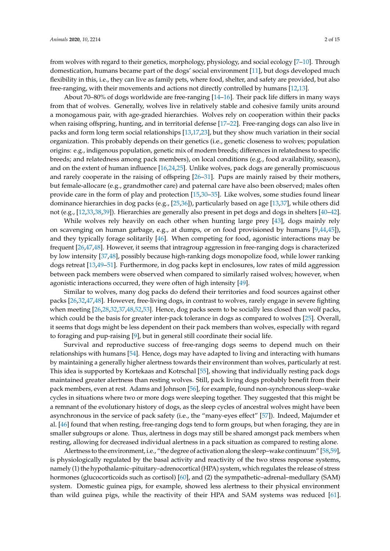from wolves with regard to their genetics, morphology, physiology, and social ecology [\[7](#page-10-0)[–10\]](#page-10-1). Through domestication, humans became part of the dogs' social environment [\[11\]](#page-10-2), but dogs developed much flexibility in this, i.e., they can live as family pets, where food, shelter, and safety are provided, but also free-ranging, with their movements and actions not directly controlled by humans [\[12](#page-10-3)[,13\]](#page-10-4).

About 70–80% of dogs worldwide are free-ranging [\[14](#page-10-5)[–16\]](#page-10-6). Their pack life differs in many ways from that of wolves. Generally, wolves live in relatively stable and cohesive family units around a monogamous pair, with age-graded hierarchies. Wolves rely on cooperation within their packs when raising offspring, hunting, and in territorial defense [\[17](#page-10-7)[–22\]](#page-10-8). Free-ranging dogs can also live in packs and form long term social relationships [\[13](#page-10-4)[,17](#page-10-7)[,23\]](#page-10-9), but they show much variation in their social organization. This probably depends on their genetics (i.e., genetic closeness to wolves; population origins: e.g., indigenous population, genetic mix of modern breeds; differences in relatedness to specific breeds; and relatedness among pack members), on local conditions (e.g., food availability, season), and on the extent of human influence [\[16](#page-10-6)[,24](#page-10-10)[,25\]](#page-10-11). Unlike wolves, pack dogs are generally promiscuous and rarely cooperate in the raising of offspring [\[26–](#page-10-12)[31\]](#page-11-0). Pups are mainly raised by their mothers, but female-allocare (e.g., grandmother care) and paternal care have also been observed; males often provide care in the form of play and protection [\[15,](#page-10-13)[30](#page-10-14)[–35\]](#page-11-1). Like wolves, some studies found linear dominance hierarchies in dog packs (e.g., [\[25](#page-10-11)[,36\]](#page-11-2)), particularly based on age [\[13,](#page-10-4)[37\]](#page-11-3), while others did not (e.g., [\[12](#page-10-3)[,33](#page-11-4)[,38](#page-11-5)[,39\]](#page-11-6)). Hierarchies are generally also present in pet dogs and dogs in shelters [\[40–](#page-11-7)[42\]](#page-11-8).

While wolves rely heavily on each other when hunting large prey [\[43\]](#page-11-9), dogs mainly rely on scavenging on human garbage, e.g., at dumps, or on food provisioned by humans [\[9,](#page-10-15)[44,](#page-11-10)[45\]](#page-11-11)), and they typically forage solitarily [\[46\]](#page-11-12). When competing for food, agonistic interactions may be frequent [\[26,](#page-10-12)[47,](#page-11-13)[48\]](#page-11-14). However, it seems that intragroup aggression in free-ranging dogs is characterized by low intensity [\[37,](#page-11-3)[48\]](#page-11-14), possibly because high-ranking dogs monopolize food, while lower ranking dogs retreat [\[13](#page-10-4)[,49](#page-11-15)[–51\]](#page-11-16). Furthermore, in dog packs kept in enclosures, low rates of mild aggression between pack members were observed when compared to similarly raised wolves; however, when agonistic interactions occurred, they were often of high intensity [\[49\]](#page-11-15).

Similar to wolves, many dog packs do defend their territories and food sources against other packs [\[26,](#page-10-12)[32,](#page-11-17)[47,](#page-11-13)[48\]](#page-11-14). However, free-living dogs, in contrast to wolves, rarely engage in severe fighting when meeting [\[26](#page-10-12)[,28](#page-10-16)[,32,](#page-11-17)[37,](#page-11-3)[48,](#page-11-14)[52](#page-11-18)[,53\]](#page-11-19). Hence, dog packs seem to be socially less closed than wolf packs, which could be the basis for greater inter-pack tolerance in dogs as compared to wolves [\[25\]](#page-10-11). Overall, it seems that dogs might be less dependent on their pack members than wolves, especially with regard to foraging and pup-raising [\[9\]](#page-10-15), but in general still coordinate their social life.

Survival and reproductive success of free-ranging dogs seems to depend much on their relationships with humans [\[54\]](#page-12-0). Hence, dogs may have adapted to living and interacting with humans by maintaining a generally higher alertness towards their environment than wolves, particularly at rest. This idea is supported by Kortekaas and Kotrschal [\[55\]](#page-12-1), showing that individually resting pack dogs maintained greater alertness than resting wolves. Still, pack living dogs probably benefit from their pack members, even at rest. Adams and Johnson [\[56\]](#page-12-2), for example, found non-synchronous sleep–wake cycles in situations where two or more dogs were sleeping together. They suggested that this might be a remnant of the evolutionary history of dogs, as the sleep cycles of ancestral wolves might have been asynchronous in the service of pack safety (i.e., the "many-eyes effect" [\[57\]](#page-12-3)). Indeed, Majumder et al. [\[46\]](#page-11-12) found that when resting, free-ranging dogs tend to form groups, but when foraging, they are in smaller subgroups or alone. Thus, alertness in dogs may still be shared amongst pack members when resting, allowing for decreased individual alertness in a pack situation as compared to resting alone.

Alertness to the environment, i.e., "the degree of activation along the sleep–wake continuum" [\[58,](#page-12-4)[59\]](#page-12-5), is physiologically regulated by the basal activity and reactivity of the two stress response systems, namely (1) the hypothalamic–pituitary–adrenocortical (HPA) system, which regulates the release of stress hormones (glucocorticoids such as cortisol) [\[60\]](#page-12-6), and (2) the sympathetic–adrenal–medullary (SAM) system. Domestic guinea pigs, for example, showed less alertness to their physical environment than wild guinea pigs, while the reactivity of their HPA and SAM systems was reduced [\[61\]](#page-12-7).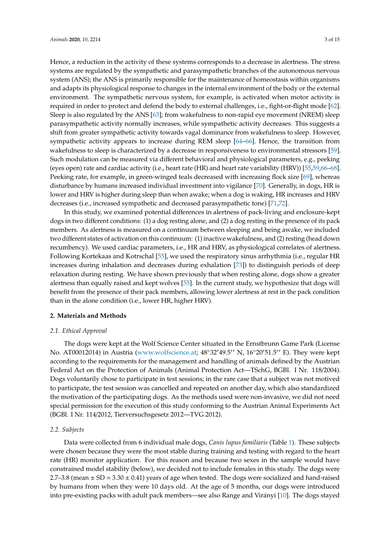Hence, a reduction in the activity of these systems corresponds to a decrease in alertness. The stress systems are regulated by the sympathetic and parasympathetic branches of the autonomous nervous system (ANS); the ANS is primarily responsible for the maintenance of homeostasis within organisms and adapts its physiological response to changes in the internal environment of the body or the external environment. The sympathetic nervous system, for example, is activated when motor activity is required in order to protect and defend the body to external challenges, i.e., fight-or-flight mode [\[62\]](#page-12-8). Sleep is also regulated by the ANS [\[63\]](#page-12-9); from wakefulness to non-rapid eye movement (NREM) sleep parasympathetic activity normally increases, while sympathetic activity decreases. This suggests a shift from greater sympathetic activity towards vagal dominance from wakefulness to sleep. However, sympathetic activity appears to increase during REM sleep [\[64–](#page-12-10)[66\]](#page-12-11). Hence, the transition from wakefulness to sleep is characterized by a decrease in responsiveness to environmental stressors [\[59\]](#page-12-5). Such modulation can be measured via different behavioral and physiological parameters, e.g., peeking (eyes open) rate and cardiac activity (i.e., heart rate (HR) and heart rate variability (HRV)) [\[55,](#page-12-1)[59,](#page-12-5)[66–](#page-12-11)[68\]](#page-12-12). Peeking rate, for example, in green-winged teals decreased with increasing flock size [\[69\]](#page-12-13), whereas disturbance by humans increased individual investment into vigilance [\[70\]](#page-12-14). Generally, in dogs, HR is lower and HRV is higher during sleep than when awake; when a dog is waking, HR increases and HRV decreases (i.e., increased sympathetic and decreased parasympathetic tone) [\[71](#page-12-15)[,72\]](#page-12-16).

In this study, we examined potential differences in alertness of pack-living and enclosure-kept dogs in two different conditions: (1) a dog resting alone, and (2) a dog resting in the presence of its pack members. As alertness is measured on a continuum between sleeping and being awake, we included two different states of activation on this continuum: (1) inactive wakefulness, and (2) resting (head down recumbency). We used cardiac parameters, i.e., HR and HRV, as physiological correlates of alertness. Following Kortekaas and Kotrschal [\[55\]](#page-12-1), we used the respiratory sinus arrhythmia (i.e., regular HR increases during inhalation and decreases during exhalation [\[73\]](#page-12-17)) to distinguish periods of deep relaxation during resting. We have shown previously that when resting alone, dogs show a greater alertness than equally raised and kept wolves [\[55\]](#page-12-1). In the current study, we hypothesize that dogs will benefit from the presence of their pack members, allowing lower alertness at rest in the pack condition than in the alone condition (i.e., lower HR, higher HRV).

## **2. Materials and Methods**

#### *2.1. Ethical Approval*

The dogs were kept at the Wolf Science Center situated in the Ernstbrunn Game Park (License No. AT00012014) in Austria [\(www.wolfscience.at;](www.wolfscience.at) 48°32'49.5" N, 16°20'51.5" E). They were kept according to the requirements for the management and handling of animals defined by the Austrian Federal Act on the Protection of Animals (Animal Protection Act—TSchG, BGBl. I Nr. 118/2004). Dogs voluntarily chose to participate in test sessions; in the rare case that a subject was not motived to participate, the test session was cancelled and repeated on another day, which also standardized the motivation of the participating dogs. As the methods used were non-invasive, we did not need special permission for the execution of this study conforming to the Austrian Animal Experiments Act (BGBl. I Nr. 114/2012, Tierversuchsgesetz 2012—TVG 2012).

## *2.2. Subjects*

Data were collected from 6 individual male dogs, *Canis lupus familiaris* (Table [1\)](#page-3-0). These subjects were chosen because they were the most stable during training and testing with regard to the heart rate (HR) monitor application. For this reason and because two sexes in the sample would have constrained model stability (below), we decided not to include females in this study. The dogs were 2.7–3.8 (mean  $\pm$  SD = 3.30  $\pm$  0.41) years of age when tested. The dogs were socialized and hand-raised by humans from when they were 10 days old. At the age of 5 months, our dogs were introduced into pre-existing packs with adult pack members—see also Range and Virányi [\[10\]](#page-10-1). The dogs stayed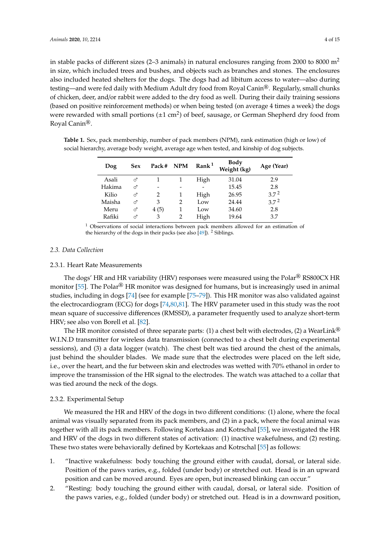in stable packs of different sizes (2–3 animals) in natural enclosures ranging from 2000 to 8000  $m<sup>2</sup>$ in size, which included trees and bushes, and objects such as branches and stones. The enclosures also included heated shelters for the dogs. The dogs had ad libitum access to water—also during testing—and were fed daily with Medium Adult dry food from Royal Canin®. Regularly, small chunks of chicken, deer, and/or rabbit were added to the dry food as well. During their daily training sessions (based on positive reinforcement methods) or when being tested (on average 4 times a week) the dogs were rewarded with small portions  $(\pm 1 \text{ cm}^2)$  of beef, sausage, or German Shepherd dry food from Royal Canin®.

| Dog    | Sex | Pack#          | <b>NPM</b>     | Rank <sup>1</sup> | <b>Body</b><br>Weight (kg) | Age (Year)       |  |
|--------|-----|----------------|----------------|-------------------|----------------------------|------------------|--|
| Asali  | ♂   |                |                | High              | 31.04                      | 2.9              |  |
| Hakima | ൪   | -              |                |                   | 15.45                      | 2.8              |  |
| Kilio  | ි   | $\mathfrak{D}$ | 1              | High              | 26.95                      | 3.7 <sup>2</sup> |  |
| Maisha | ♂   | 3              | $\overline{2}$ | Low               | 24.44                      | 3.7 <sup>2</sup> |  |
| Meru   | ♂   | 4(5)           | 1              | Low               | 34.60                      | 2.8              |  |
| Rafiki | ൪   | 3              | 2              | High              | 19.64                      | 3.7              |  |

<span id="page-3-0"></span>**Table 1.** Sex, pack membership, number of pack members (NPM), rank estimation (high or low) of social hierarchy, average body weight, average age when tested, and kinship of dog subjects.

<sup>1</sup> Observations of social interactions between pack members allowed for an estimation of the hierarchy of the dogs in their packs (see also  $[49]$ ). <sup>2</sup> Siblings.

### *2.3. Data Collection*

## 2.3.1. Heart Rate Measurements

The dogs' HR and HR variability (HRV) responses were measured using the Polar<sup>®</sup> RS800CX HR monitor [\[55\]](#page-12-1). The Polar® HR monitor was designed for humans, but is increasingly used in animal studies, including in dogs [\[74\]](#page-12-18) (see for example [\[75](#page-12-19)[–79\]](#page-13-0)). This HR monitor was also validated against the electrocardiogram (ECG) for dogs [\[74](#page-12-18)[,80](#page-13-1)[,81\]](#page-13-2). The HRV parameter used in this study was the root mean square of successive differences (RMSSD), a parameter frequently used to analyze short-term HRV; see also von Borell et al. [\[82\]](#page-13-3).

The HR monitor consisted of three separate parts: (1) a chest belt with electrodes, (2) a WearLink<sup>®</sup> W.I.N.D transmitter for wireless data transmission (connected to a chest belt during experimental sessions), and (3) a data logger (watch). The chest belt was tied around the chest of the animals, just behind the shoulder blades. We made sure that the electrodes were placed on the left side, i.e., over the heart, and the fur between skin and electrodes was wetted with 70% ethanol in order to improve the transmission of the HR signal to the electrodes. The watch was attached to a collar that was tied around the neck of the dogs.

#### 2.3.2. Experimental Setup

We measured the HR and HRV of the dogs in two different conditions: (1) alone, where the focal animal was visually separated from its pack members, and (2) in a pack, where the focal animal was together with all its pack members. Following Kortekaas and Kotrschal [\[55\]](#page-12-1), we investigated the HR and HRV of the dogs in two different states of activation: (1) inactive wakefulness, and (2) resting. These two states were behaviorally defined by Kortekaas and Kotrschal [\[55\]](#page-12-1) as follows:

- 1. "Inactive wakefulness: body touching the ground either with caudal, dorsal, or lateral side. Position of the paws varies, e.g., folded (under body) or stretched out. Head is in an upward position and can be moved around. Eyes are open, but increased blinking can occur."
- 2. "Resting: body touching the ground either with caudal, dorsal, or lateral side. Position of the paws varies, e.g., folded (under body) or stretched out. Head is in a downward position,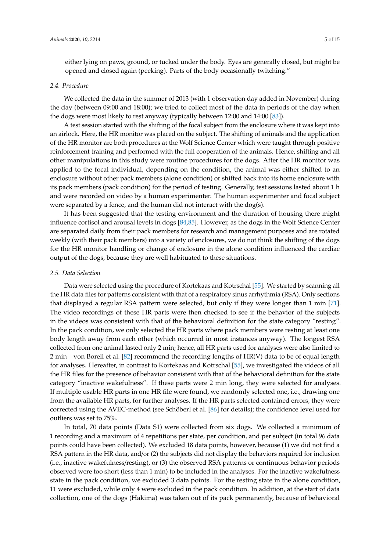either lying on paws, ground, or tucked under the body. Eyes are generally closed, but might be opened and closed again (peeking). Parts of the body occasionally twitching."

# *2.4. Procedure*

We collected the data in the summer of 2013 (with 1 observation day added in November) during the day (between 09:00 and 18:00); we tried to collect most of the data in periods of the day when the dogs were most likely to rest anyway (typically between 12:00 and 14:00 [\[83\]](#page-13-4)).

A test session started with the shifting of the focal subject from the enclosure where it was kept into an airlock. Here, the HR monitor was placed on the subject. The shifting of animals and the application of the HR monitor are both procedures at the Wolf Science Center which were taught through positive reinforcement training and performed with the full cooperation of the animals. Hence, shifting and all other manipulations in this study were routine procedures for the dogs. After the HR monitor was applied to the focal individual, depending on the condition, the animal was either shifted to an enclosure without other pack members (alone condition) or shifted back into its home enclosure with its pack members (pack condition) for the period of testing. Generally, test sessions lasted about 1 h and were recorded on video by a human experimenter. The human experimenter and focal subject were separated by a fence, and the human did not interact with the dog(s).

It has been suggested that the testing environment and the duration of housing there might influence cortisol and arousal levels in dogs [\[84](#page-13-5)[,85\]](#page-13-6). However, as the dogs in the Wolf Science Center are separated daily from their pack members for research and management purposes and are rotated weekly (with their pack members) into a variety of enclosures, we do not think the shifting of the dogs for the HR monitor handling or change of enclosure in the alone condition influenced the cardiac output of the dogs, because they are well habituated to these situations.

#### *2.5. Data Selection*

Data were selected using the procedure of Kortekaas and Kotrschal [\[55\]](#page-12-1). We started by scanning all the HR data files for patterns consistent with that of a respiratory sinus arrhythmia (RSA). Only sections that displayed a regular RSA pattern were selected, but only if they were longer than 1 min [\[71\]](#page-12-15). The video recordings of these HR parts were then checked to see if the behavior of the subjects in the videos was consistent with that of the behavioral definition for the state category "resting". In the pack condition, we only selected the HR parts where pack members were resting at least one body length away from each other (which occurred in most instances anyway). The longest RSA collected from one animal lasted only 2 min; hence, all HR parts used for analyses were also limited to 2 min—von Borell et al. [\[82\]](#page-13-3) recommend the recording lengths of HR(V) data to be of equal length for analyses. Hereafter, in contrast to Kortekaas and Kotrschal [\[55\]](#page-12-1), we investigated the videos of all the HR files for the presence of behavior consistent with that of the behavioral definition for the state category "inactive wakefulness". If these parts were 2 min long, they were selected for analyses. If multiple usable HR parts in one HR file were found, we randomly selected one, i.e., drawing one from the available HR parts, for further analyses. If the HR parts selected contained errors, they were corrected using the AVEC-method (see Schöberl et al. [\[86\]](#page-13-7) for details); the confidence level used for outliers was set to 75%.

In total, 70 data points (Data S1) were collected from six dogs. We collected a minimum of 1 recording and a maximum of 4 repetitions per state, per condition, and per subject (in total 96 data points could have been collected). We excluded 18 data points, however, because (1) we did not find a RSA pattern in the HR data, and/or (2) the subjects did not display the behaviors required for inclusion (i.e., inactive wakefulness/resting), or (3) the observed RSA patterns or continuous behavior periods observed were too short (less than 1 min) to be included in the analyses. For the inactive wakefulness state in the pack condition, we excluded 3 data points. For the resting state in the alone condition, 11 were excluded, while only 4 were excluded in the pack condition. In addition, at the start of data collection, one of the dogs (Hakima) was taken out of its pack permanently, because of behavioral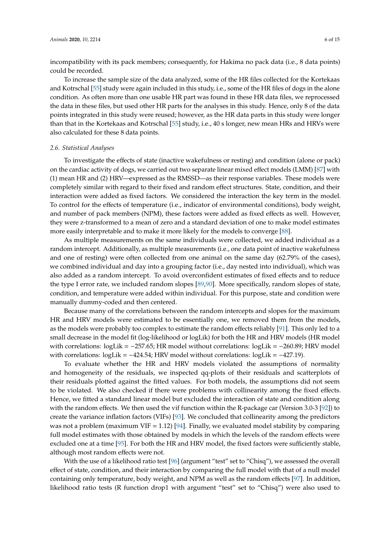incompatibility with its pack members; consequently, for Hakima no pack data (i.e., 8 data points) could be recorded.

To increase the sample size of the data analyzed, some of the HR files collected for the Kortekaas and Kotrschal [\[55\]](#page-12-1) study were again included in this study, i.e., some of the HR files of dogs in the alone condition. As often more than one usable HR part was found in these HR data files, we reprocessed the data in these files, but used other HR parts for the analyses in this study. Hence, only 8 of the data points integrated in this study were reused; however, as the HR data parts in this study were longer than that in the Kortekaas and Kotrschal [\[55\]](#page-12-1) study, i.e., 40 s longer, new mean HRs and HRVs were also calculated for these 8 data points.

#### *2.6. Statistical Analyses*

To investigate the effects of state (inactive wakefulness or resting) and condition (alone or pack) on the cardiac activity of dogs, we carried out two separate linear mixed effect models (LMM) [\[87\]](#page-13-8) with (1) mean HR and (2) HRV—expressed as the RMSSD—as their response variables. These models were completely similar with regard to their fixed and random effect structures. State, condition, and their interaction were added as fixed factors. We considered the interaction the key term in the model. To control for the effects of temperature (i.e., indicator of environmental conditions), body weight, and number of pack members (NPM), these factors were added as fixed effects as well. However, they were z-transformed to a mean of zero and a standard deviation of one to make model estimates more easily interpretable and to make it more likely for the models to converge [\[88\]](#page-13-9).

As multiple measurements on the same individuals were collected, we added individual as a random intercept. Additionally, as multiple measurements (i.e., one data point of inactive wakefulness and one of resting) were often collected from one animal on the same day (62.79% of the cases), we combined individual and day into a grouping factor (i.e., day nested into individual), which was also added as a random intercept. To avoid overconfident estimates of fixed effects and to reduce the type I error rate, we included random slopes [\[89,](#page-13-10)[90\]](#page-13-11). More specifically, random slopes of state, condition, and temperature were added within individual. For this purpose, state and condition were manually dummy-coded and then centered.

Because many of the correlations between the random intercepts and slopes for the maximum HR and HRV models were estimated to be essentially one, we removed them from the models, as the models were probably too complex to estimate the random effects reliably [\[91\]](#page-13-12). This only led to a small decrease in the model fit (log-likelihood or logLik) for both the HR and HRV models (HR model with correlations: logLik = −257.65; HR model without correlations: logLik = −260.89; HRV model with correlations:  $logLik = -424.54$ ; HRV model without correlations:  $logLik = -427.19$ ).

To evaluate whether the HR and HRV models violated the assumptions of normality and homogeneity of the residuals, we inspected qq-plots of their residuals and scatterplots of their residuals plotted against the fitted values. For both models, the assumptions did not seem to be violated. We also checked if there were problems with collinearity among the fixed effects. Hence, we fitted a standard linear model but excluded the interaction of state and condition along with the random effects. We then used the vif function within the R-package car (Version 3.0-3 [\[92\]](#page-13-13)) to create the variance inflation factors (VIFs) [\[93\]](#page-13-14). We concluded that collinearity among the predictors was not a problem (maximum VIF = 1.12) [\[94\]](#page-13-15). Finally, we evaluated model stability by comparing full model estimates with those obtained by models in which the levels of the random effects were excluded one at a time [\[95\]](#page-13-16). For both the HR and HRV model, the fixed factors were sufficiently stable, although most random effects were not.

With the use of a likelihood ratio test [\[96\]](#page-13-17) (argument "test" set to "Chisq"), we assessed the overall effect of state, condition, and their interaction by comparing the full model with that of a null model containing only temperature, body weight, and NPM as well as the random effects [\[97\]](#page-13-18). In addition, likelihood ratio tests (R function drop1 with argument "test" set to "Chisq") were also used to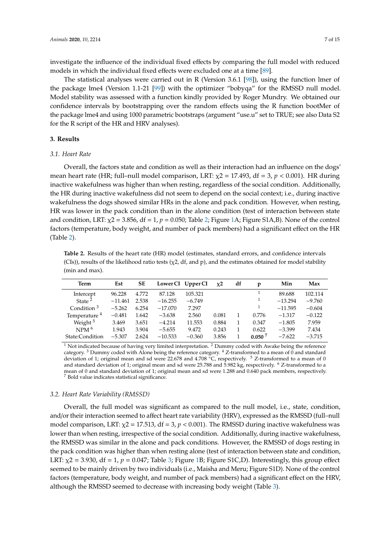investigate the influence of the individual fixed effects by comparing the full model with reduced models in which the individual fixed effects were excluded one at a time [\[89\]](#page-13-10).

The statistical analyses were carried out in R (Version 3.6.1 [\[98\]](#page-13-19)), using the function lmer of the package lme4 (Version 1.1-21 [\[99\]](#page-13-20)) with the optimizer "bobyqa" for the RMSSD null model. Model stability was assessed with a function kindly provided by Roger Mundry. We obtained our confidence intervals by bootstrapping over the random effects using the R function bootMer of the package lme4 and using 1000 parametric bootstraps (argument "use.u" set to TRUE; see also Data S2 for the R script of the HR and HRV analyses).

# **3. Results**

# *3.1. Heart Rate*

Overall, the factors state and condition as well as their interaction had an influence on the dogs' mean heart rate (HR; full–null model comparison, LRT: χ2 = 17.493, df = 3, *p* < 0.001). HR during inactive wakefulness was higher than when resting, regardless of the social condition. Additionally, the HR during inactive wakefulness did not seem to depend on the social context; i.e., during inactive wakefulness the dogs showed similar HRs in the alone and pack condition. However, when resting, HR was lower in the pack condition than in the alone condition (test of interaction between state and condition, LRT: χ2 = 3.856, df = 1, *p* = 0.050; Table [2;](#page-6-0) Figure [1A](#page-7-0); Figure S1A,B). None of the control factors (temperature, body weight, and number of pack members) had a significant effect on the HR (Table [2\)](#page-6-0).

<span id="page-6-0"></span>**Table 2.** Results of the heart rate (HR) model (estimates, standard errors, and confidence intervals  $(CIs)$ ), results of the likelihood ratio tests ( $\chi$ 2, df, and p), and the estimates obtained for model stability (min and max).

| Term                     | Est       | SЕ    |           | Lower CI Upper CI | $x^2$ | df | D                  | Min       | Max      |
|--------------------------|-----------|-------|-----------|-------------------|-------|----|--------------------|-----------|----------|
| Intercept                | 96.228    | 4.772 | 87.128    | 105.321           |       |    |                    | 89.688    | 102.114  |
| State <sup>2</sup>       | $-11.461$ | 2.538 | $-16.255$ | $-6.749$          |       |    |                    | $-13.294$ | $-9.760$ |
| Condition $3$            | $-5.262$  | 6.254 | $-17.070$ | 7.297             |       |    |                    | $-11.595$ | $-0.604$ |
| Temperature <sup>4</sup> | $-0.481$  | 1.642 | $-3.638$  | 2.560             | 0.081 |    | 0.776              | $-1.317$  | $-0.122$ |
| Weight <sup>5</sup>      | 3.469     | 3.651 | $-4.214$  | 11.553            | 0.884 |    | 0.347              | $-1.805$  | 7.959    |
| NPM $6$                  | 1.943     | 3.904 | $-5.655$  | 9.472             | 0.243 |    | 0.622              | $-3.399$  | 7.434    |
| State:Condition          | $-5.307$  | 2.624 | $-10.533$ | $-0.360$          | 3.856 |    | 0.050 <sup>7</sup> | $-7.622$  | $-3.715$ |

 $1$  Not indicated because of having very limited interpretation.  $2$  Dummy coded with Awake being the reference category. <sup>3</sup> Dummy coded with Alone being the reference category. <sup>4</sup> Z-transformed to a mean of 0 and standard deviation of 1; original mean and sd were 22.678 and 4.708 °C, respectively. <sup>5</sup> Z-transformed to a mean of 0 and standard deviation of 1; original mean and sd were 25.788 and 5.982 kg, respectively. <sup>6</sup> Z-transformed to a mean of 0 and standard deviation of 1; original mean and sd were 1.288 and 0.640 pack members, respectively. <sup>7</sup> Bold value indicates statistical significance.

# *3.2. Heart Rate Variability (RMSSD)*

Overall, the full model was significant as compared to the null model, i.e., state, condition, and/or their interaction seemed to affect heart rate variability (HRV), expressed as the RMSSD (full–null model comparison, LRT:  $\chi$ 2 = 17.513, df = 3, *p* < 0.001). The RMSSD during inactive wakefulness was lower than when resting, irrespective of the social condition. Additionally, during inactive wakefulness, the RMSSD was similar in the alone and pack conditions. However, the RMSSD of dogs resting in the pack condition was higher than when resting alone (test of interaction between state and condition, LRT:  $\chi$ 2 = 3.930, df = 1,  $p$  = 0.047; Table [3;](#page-7-1) Figure [1B](#page-7-0); Figure S1C,D). Interestingly, this group effect seemed to be mainly driven by two individuals (i.e., Maisha and Meru; Figure S1D). None of the control factors (temperature, body weight, and number of pack members) had a significant effect on the HRV, although the RMSSD seemed to decrease with increasing body weight (Table [3\)](#page-7-1).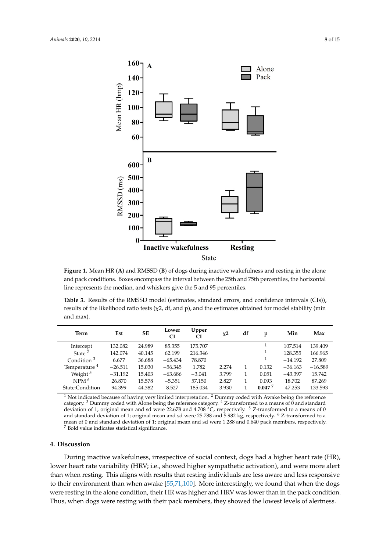<span id="page-7-0"></span>

and pack conditions. Boxes encompass the interval between the 25th and 75th percentiles, the horizontal line represents the median, and whiskers give the 5 and 95 percentiles. **Figure 1.** Mean HR (**A**) and RMSSD (**B**) of dogs during inactive wakefulness and resting in the alone

<span id="page-7-1"></span>Table 3. Results of the RMSSD model (estimates, standard errors, and confidence intervals (CIs)), results of the likelihood ratio tests (χ2, df, and p), and the estimates obtained for model stability (min  $\mathcal{L}$  as significant as compared to the null model, i.e., state, condition, i.e., state, condition, condition, condition,  $\mathcal{L}$ and max).

| Term                | Est       | SE     | Lower<br>СI | Upper<br>CI | $x^2$ | df | p                  | Min       | Max       |
|---------------------|-----------|--------|-------------|-------------|-------|----|--------------------|-----------|-----------|
| Intercept           | 132.082   | 24.989 | 85.355      | 175.707     |       |    |                    | 107.514   | 139.409   |
| State <sup>2</sup>  | 142.074   | 40.145 | 62.199      | 216.346     |       |    |                    | 128.355   | 166.965   |
| Condition $3$       | 6.677     | 36.688 | $-65.434$   | 78.870      |       |    | 1                  | $-14.192$ | 27.809    |
| Temperature 4       | $-26.511$ | 15.030 | $-56.345$   | 1.782       | 2.274 |    | 0.132              | $-36.163$ | $-16.589$ |
| Weight <sup>5</sup> | $-31.192$ | 15.403 | $-63.686$   | $-3.041$    | 3.799 |    | 0.051              | $-43.397$ | 15.742    |
| NPM <sup>6</sup>    | 26.870    | 15.578 | $-5.351$    | 57.150      | 2.827 |    | 0.093              | 18.702    | 87.269    |
| State:Condition     | 94.399    | 44.382 | 8.527       | 185.034     | 3.930 |    | 0.047 <sup>7</sup> | 47.253    | 133.593   |

<sup>1</sup> Not indicated because of having very limited interpretation. <sup>2</sup> Dummy coded with Awake being the reference (Table 3). category. <sup>3</sup> Dummy coded with Alone being the reference category. <sup>4</sup> Z-transformed to a means of 0 and standard deviation of 1; original mean and sd were 22.678 and 4.708 °C, respectively. <sup>5</sup> Z-transformed to a means of 0 and standard deviation of 1; original mean and sd were 25.788 and 5.982 kg, respectively. <sup>6</sup> Z-transformed to a mean of 0 and standard deviation of 1; original mean and sd were 1.288 and 0.640 pack members, respectively.  $7$  Bold value indicates statistical significance.

#### **4. Discussion**

During inactive wakefulness, irrespective of social context, dogs had a higher heart rate (HR), lower heart rate variability (HRV; i.e., showed higher sympathetic activation), and were more alert than when resting. This aligns with results that resting individuals are less aware and less responsive to their environment than when awake [\[55](#page-12-1)[,71](#page-12-15)[,100\]](#page-13-21). More interestingly, we found that when the dogs were resting in the alone condition, their HR was higher and HRV was lower than in the pack condition. Thus, when dogs were resting with their pack members, they showed the lowest levels of alertness.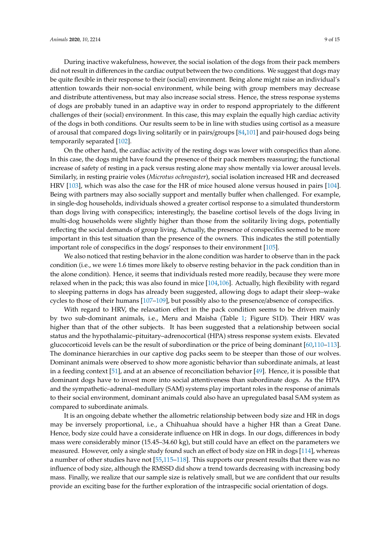During inactive wakefulness, however, the social isolation of the dogs from their pack members did not result in differences in the cardiac output between the two conditions. We suggest that dogs may be quite flexible in their response to their (social) environment. Being alone might raise an individual's attention towards their non-social environment, while being with group members may decrease and distribute attentiveness, but may also increase social stress. Hence, the stress response systems of dogs are probably tuned in an adaptive way in order to respond appropriately to the different challenges of their (social) environment. In this case, this may explain the equally high cardiac activity of the dogs in both conditions. Our results seem to be in line with studies using cortisol as a measure of arousal that compared dogs living solitarily or in pairs/groups [\[84,](#page-13-5)[101\]](#page-14-0) and pair-housed dogs being temporarily separated [\[102\]](#page-14-1).

On the other hand, the cardiac activity of the resting dogs was lower with conspecifics than alone. In this case, the dogs might have found the presence of their pack members reassuring; the functional increase of safety of resting in a pack versus resting alone may show mentally via lower arousal levels. Similarly, in resting prairie voles (*Microtus ochrogaster*), social isolation increased HR and decreased HRV [\[103\]](#page-14-2), which was also the case for the HR of mice housed alone versus housed in pairs [\[104\]](#page-14-3). Being with partners may also socially support and mentally buffer when challenged. For example, in single-dog households, individuals showed a greater cortisol response to a simulated thunderstorm than dogs living with conspecifics; interestingly, the baseline cortisol levels of the dogs living in multi-dog households were slightly higher than those from the solitarily living dogs, potentially reflecting the social demands of group living. Actually, the presence of conspecifics seemed to be more important in this test situation than the presence of the owners. This indicates the still potentially important role of conspecifics in the dogs' responses to their environment [\[105\]](#page-14-4).

We also noticed that resting behavior in the alone condition was harder to observe than in the pack condition (i.e., we were 1.6 times more likely to observe resting behavior in the pack condition than in the alone condition). Hence, it seems that individuals rested more readily, because they were more relaxed when in the pack; this was also found in mice [\[104,](#page-14-3)[106\]](#page-14-5). Actually, high flexibility with regard to sleeping patterns in dogs has already been suggested, allowing dogs to adapt their sleep–wake cycles to those of their humans [\[107](#page-14-6)[–109\]](#page-14-7), but possibly also to the presence/absence of conspecifics.

With regard to HRV, the relaxation effect in the pack condition seems to be driven mainly by two sub-dominant animals, i.e., Meru and Maisha (Table [1;](#page-3-0) Figure S1D). Their HRV was higher than that of the other subjects. It has been suggested that a relationship between social status and the hypothalamic–pituitary–adrenocortical (HPA) stress response system exists. Elevated glucocorticoid levels can be the result of subordination or the price of being dominant [\[60,](#page-12-6)[110–](#page-14-8)[113\]](#page-14-9). The dominance hierarchies in our captive dog packs seem to be steeper than those of our wolves. Dominant animals were observed to show more agonistic behavior than subordinate animals, at least in a feeding context [\[51\]](#page-11-16), and at an absence of reconciliation behavior [\[49\]](#page-11-15). Hence, it is possible that dominant dogs have to invest more into social attentiveness than subordinate dogs. As the HPA and the sympathetic–adrenal–medullary (SAM) systems play important roles in the response of animals to their social environment, dominant animals could also have an upregulated basal SAM system as compared to subordinate animals.

It is an ongoing debate whether the allometric relationship between body size and HR in dogs may be inversely proportional, i.e., a Chihuahua should have a higher HR than a Great Dane. Hence, body size could have a considerate influence on HR in dogs. In our dogs, differences in body mass were considerably minor (15.45–34.60 kg), but still could have an effect on the parameters we measured. However, only a single study found such an effect of body size on HR in dogs [\[114\]](#page-14-10), whereas a number of other studies have not [\[55,](#page-12-1)[115–](#page-14-11)[118\]](#page-14-12). This supports our present results that there was no influence of body size, although the RMSSD did show a trend towards decreasing with increasing body mass. Finally, we realize that our sample size is relatively small, but we are confident that our results provide an exciting base for the further exploration of the intraspecific social orientation of dogs.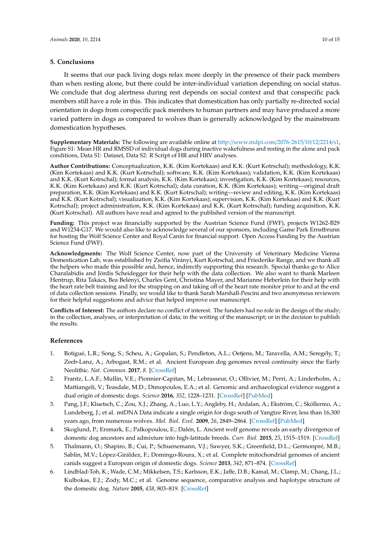## **5. Conclusions**

It seems that our pack living dogs relax more deeply in the presence of their pack members than when resting alone, but there could be inter-individual variation depending on social status. We conclude that dog alertness during rest depends on social context and that conspecific pack members still have a role in this. This indicates that domestication has only partially re-directed social orientation in dogs from conspecific pack members to human partners and may have produced a more varied pattern in dogs as compared to wolves than is generally acknowledged by the mainstream domestication hypotheses.

**Supplementary Materials:** The following are available online at http://[www.mdpi.com](http://www.mdpi.com/2076-2615/10/12/2214/s1)/2076-2615/10/12/2214/s1, Figure S1: Mean HR and RMSSD of individual dogs during inactive wakefulness and resting in the alone and pack conditions, Data S1: Dataset, Data S2: R Script of HR and HRV analyses.

**Author Contributions:** Conceptualization, K.K. (Kim Kortekaas) and K.K. (Kurt Kotrschal); methodology, K.K. (Kim Kortekaas) and K.K. (Kurt Kotrschal); software, K.K. (Kim Kortekaas); validation, K.K. (Kim Kortekaas) and K.K. (Kurt Kotrschal); formal analysis, K.K. (Kim Kortekaas); investigation, K.K. (Kim Kortekaas); resources, K.K. (Kim Kortekaas) and K.K. (Kurt Kotrschal); data curation, K.K. (Kim Kortekaas); writing—original draft preparation, K.K. (Kim Kortekaas) and K.K. (Kurt Kotrschal); writing—review and editing, K.K. (Kim Kortekaas) and K.K. (Kurt Kotrschal); visualization, K.K. (Kim Kortekaas); supervision, K.K. (Kim Kortekaas) and K.K. (Kurt Kotrschal); project administration, K.K. (Kim Kortekaas) and K.K. (Kurt Kotrschal); funding acquisition, K.K. (Kurt Kotrschal). All authors have read and agreed to the published version of the manuscript.

**Funding:** This project was financially supported by the Austrian Science Fund (FWF), projects W1262-B29 and W1234-G17. We would also like to acknowledge several of our sponsors, including Game Park Ernstbrunn for hosting the Wolf Science Center and Royal Canin for financial support. Open Access Funding by the Austrian Science Fund (FWF).

**Acknowledgments:** The Wolf Science Center, now part of the University of Veterinary Medicine Vienna Domestication Lab, was established by Zsófia Virányi, Kurt Kotrschal, and Friederike Range, and we thank all the helpers who made this possible and, hence, indirectly supporting this research. Special thanks go to Alice Charalabidis and Jördis Scheidegger for their help with the data collection. We also want to thank Marleen Hentrup, Rita Takács, Bea Belényi, Charles Gent, Christina Mayer, and Marianne Heberlein for their help with the heart rate belt training and for the strapping on and taking off of the heart rate monitor prior to and at the end of data collection sessions. Finally, we would like to thank Sarah Marshall-Pescini and two anonymous reviewers for their helpful suggestions and advice that helped improve our manuscript.

**Conflicts of Interest:** The authors declare no conflict of interest. The funders had no role in the design of the study; in the collection, analyses, or interpretation of data; in the writing of the manuscript; or in the decision to publish the results.

## **References**

- <span id="page-9-0"></span>1. Botigué, L.R.; Song, S.; Scheu, A.; Gopalan, S.; Pendleton, A.L.; Oetjens, M.; Taravella, A.M.; Seregély, T.; Zeeb-Lanz, A.; Arbogast, R.M.; et al. Ancient European dog genomes reveal continuity since the Early Neolithic. *Nat. Commun.* **2017**, *8*. [\[CrossRef\]](http://dx.doi.org/10.1038/ncomms16082)
- <span id="page-9-2"></span>2. Frantz, L.A.F.; Mullin, V.E.; Pionnier-Capitan, M.; Lebrasseur, O.; Ollivier, M.; Perri, A.; Linderholm, A.; Mattiangeli, V.; Teasdale, M.D.; Dimopoulos, E.A.; et al. Genomic and archaeological evidence suggest a dual origin of domestic dogs. *Science* **2016**, *352*, 1228–1231. [\[CrossRef\]](http://dx.doi.org/10.1126/science.aaf3161) [\[PubMed\]](http://www.ncbi.nlm.nih.gov/pubmed/27257259)
- 3. Pang, J.F.; Kluetsch, C.; Zou, X.J.; Zhang, A.; Luo, L.Y.; Angleby, H.; Ardalan, A.; Ekström, C.; Sköllermo, A.; Lundeberg, J.; et al. mtDNA Data indicate a single origin for dogs south of Yangtze River, less than 16,300 years ago, from numerous wolves. *Mol. Biol. Evol.* **2009**, *26*, 2849–2864. [\[CrossRef\]](http://dx.doi.org/10.1093/molbev/msp195) [\[PubMed\]](http://www.ncbi.nlm.nih.gov/pubmed/19723671)
- 4. Skoglund, P.; Ersmark, E.; Palkopoulou, E.; Dalén, L. Ancient wolf genome reveals an early divergence of domestic dog ancestors and admixture into high-latitude breeds. *Curr. Biol.* **2015**, *25*, 1515–1519. [\[CrossRef\]](http://dx.doi.org/10.1016/j.cub.2015.04.019)
- <span id="page-9-1"></span>5. Thalmann, O.; Shapiro, B.; Cui, P.; Schuenemann, V.J.; Sawyer, S.K.; Greenfield, D.L.; Germonpré, M.B.; Sablin, M.V.; López-Giráldez, F.; Domingo-Roura, X.; et al. Complete mitochondrial genomes of ancient canids suggest a European origin of domestic dogs. *Science* **2013**, *342*, 871–874. [\[CrossRef\]](http://dx.doi.org/10.1126/science.1243650)
- <span id="page-9-3"></span>6. Lindblad-Toh, K.; Wade, C.M.; Mikkelsen, T.S.; Karlsson, E.K.; Jaffe, D.B.; Kamal, M.; Clamp, M.; Chang, J.L.; Kulbokas, E.J.; Zody, M.C.; et al. Genome sequence, comparative analysis and haplotype structure of the domestic dog. *Nature* **2005**, *438*, 803–819. [\[CrossRef\]](http://dx.doi.org/10.1038/nature04338)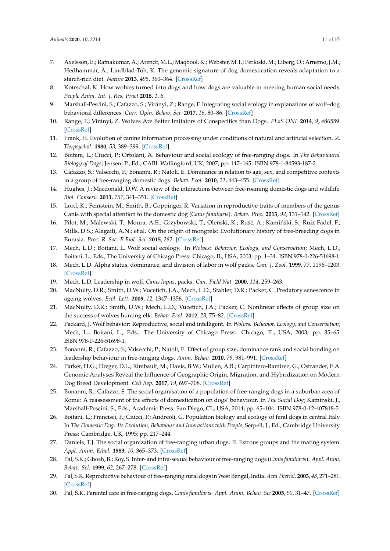- <span id="page-10-0"></span>7. Axelsson, E.; Ratnakumar, A.; Arendt, M.L.; Maqbool, K.; Webster, M.T.; Perloski, M.; Liberg, O.; Arnemo, J.M.; Hedhammar, Å.; Lindblad-Toh, K. The genomic signature of dog domestication reveals adaptation to a starch-rich diet. *Nature* **2013**, *495*, 360–364. [\[CrossRef\]](http://dx.doi.org/10.1038/nature11837)
- 8. Kotrschal, K. How wolves turned into dogs and how dogs are valuable in meeting human social needs. *People Anim. Int. J. Res. Pract* **2018**, *1*, 6.
- <span id="page-10-15"></span>9. Marshall-Pescini, S.; Cafazzo, S.; Virányi, Z.; Range, F. Integrating social ecology in explanations of wolf–dog behavioral differences. *Curr. Opin. Behav. Sci.* **2017**, *16*, 80–86. [\[CrossRef\]](http://dx.doi.org/10.1016/j.cobeha.2017.05.002)
- <span id="page-10-1"></span>10. Range, F.; Virányi, Z. Wolves Are Better Imitators of Conspecifics than Dogs. *PLoS ONE* **2014**, *9*, e86559. [\[CrossRef\]](http://dx.doi.org/10.1371/journal.pone.0086559)
- <span id="page-10-2"></span>11. Frank, H. Evolution of canine information processing under conditions of natural and artificial selection. *Z. Tierpsychol.* **1980**, *53*, 389–399. [\[CrossRef\]](http://dx.doi.org/10.1111/j.1439-0310.1980.tb01059.x)
- <span id="page-10-3"></span>12. Boitani, L.; Ciucci, P.; Ortolani, A. Behaviour and social ecology of free-ranging dogs. In *The Behavioural Biology of Dogs*; Jensen, P., Ed.; CABI: Wallingford, UK, 2007; pp. 147–165. ISBN 978-1-84593-187-2.
- <span id="page-10-4"></span>13. Cafazzo, S.; Valsecchi, P.; Bonanni, R.; Natoli, E. Dominance in relation to age, sex, and competitive contexts in a group of free-ranging domestic dogs. *Behav. Ecol.* **2010**, *21*, 443–455. [\[CrossRef\]](http://dx.doi.org/10.1093/beheco/arq001)
- <span id="page-10-5"></span>14. Hughes, J.; Macdonald, D.W. A review of the interactions between free-roaming domestic dogs and wildlife. *Biol. Conserv.* **2013**, *157*, 341–351. [\[CrossRef\]](http://dx.doi.org/10.1016/j.biocon.2012.07.005)
- <span id="page-10-13"></span>15. Lord, K.; Feinstein, M.; Smith, B.; Coppinger, R. Variation in reproductive traits of members of the genus Canis with special attention to the domestic dog (*Canis familiaris*). *Behav. Proc.* **2013**, *92*, 131–142. [\[CrossRef\]](http://dx.doi.org/10.1016/j.beproc.2012.10.009)
- <span id="page-10-6"></span>16. Pilot, M.; Malewski, T.; Moura, A.E.; Grzybowski, T.; Oleński, K.; Ruść, A.; Kamiński, S.; Ruiz Fadel, F.; Mills, D.S.; Alagaili, A.N.; et al. On the origin of mongrels: Evolutionary history of free-breeding dogs in Eurasia. *Proc. R. Soc. B Biol. Sci.* **2015**, *282*. [\[CrossRef\]](http://dx.doi.org/10.1098/rspb.2015.2189)
- <span id="page-10-7"></span>17. Mech, L.D.; Boitani, L. Wolf social ecology. In *Wolves: Behavior, Ecology, and Conservation*; Mech, L.D., Boitani, L., Eds.; The University of Chicago Press: Chicago, IL, USA, 2003; pp. 1–34. ISBN 978-0-226-51698-1.
- 18. Mech, L.D. Alpha status, dominance, and division of labor in wolf packs. *Can. J. Zool.* **1999**, *77*, 1196–1203. [\[CrossRef\]](http://dx.doi.org/10.1139/z99-099)
- 19. Mech, L.D. Leadership in wolf, *Canis lupus*, packs. *Can. Field Nat.* **2000**, *114*, 259–263.
- 20. MacNulty, D.R.; Smith, D.W.; Vucetich, J.A.; Mech, L.D.; Stahler, D.R.; Packer, C. Predatory senescence in ageing wolves. *Ecol. Lett.* **2009**, *12*, 1347–1356. [\[CrossRef\]](http://dx.doi.org/10.1111/j.1461-0248.2009.01385.x)
- 21. MacNulty, D.R.; Smith, D.W.; Mech, L.D.; Vucetich, J.A.; Packer, C. Nonlinear effects of group size on the success of wolves hunting elk. *Behav. Ecol.* **2012**, *23*, 75–82. [\[CrossRef\]](http://dx.doi.org/10.1093/beheco/arr159)
- <span id="page-10-8"></span>22. Packard, J. Wolf behavior: Reproductive, social and intelligent. In *Wolves: Behavior, Ecology, and Conservation*; Mech, L., Boitani, L., Eds.; The University of Chicago Press: Chicago, IL, USA, 2003; pp. 35–65. ISBN 978-0-226-51698-1.
- <span id="page-10-9"></span>23. Bonanni, R.; Cafazzo, S.; Valsecchi, P.; Natoli, E. Effect of group size, dominance rank and social bonding on leadership behaviour in free-ranging dogs. *Anim. Behav.* **2010**, *79*, 981–991. [\[CrossRef\]](http://dx.doi.org/10.1016/j.anbehav.2010.02.021)
- <span id="page-10-10"></span>24. Parker, H.G.; Dreger, D.L.; Rimbault, M.; Davis, B.W.; Mullen, A.B.; Carpintero-Ramirez, G.; Ostrander, E.A. Genomic Analyses Reveal the Influence of Geographic Origin, Migration, and Hybridization on Modern Dog Breed Development. *Cell Rep.* **2017**, *19*, 697–708. [\[CrossRef\]](http://dx.doi.org/10.1016/j.celrep.2017.03.079)
- <span id="page-10-11"></span>25. Bonanni, R.; Cafazzo, S. The social organisation of a population of free-ranging dogs in a suburban area of Rome: A reassessment of the effects of domestication on dogs' behaviour. In *The Social Dog*; Kaminski, J., Marshall-Pescini, S., Eds.; Academic Press: San Diego, CL, USA, 2014; pp. 65–104. ISBN 978-0-12-407818-5.
- <span id="page-10-12"></span>26. Boitani, L.; Francisci, F.; Ciucci, P.; Andreoli, G. Population biology and ecology of feral dogs in central Italy. In *The Domestic Dog: Its Evolution, Behaviour and Interactions with People; Serpell, J., Ed.; Cambridge University* Press: Cambridge, UK, 1995; pp. 217–244.
- 27. Daniels, T.J. The social organization of free-ranging urban dogs. II. Estrous groups and the mating system. *Appl. Anim. Ethol.* **1983**, *10*, 365–373. [\[CrossRef\]](http://dx.doi.org/10.1016/0304-3762(83)90185-2)
- <span id="page-10-16"></span>28. Pal, S.K.; Ghosh, B.; Roy, S. Inter- and intra-sexual behaviour of free-ranging dogs (*Canis familiaris*). *Appl. Anim. Behav. Sci.* **1999**, *62*, 267–278. [\[CrossRef\]](http://dx.doi.org/10.1016/S0168-1591(98)00220-2)
- 29. Pal, S.K. Reproductive behaviour of free-ranging rural dogs in West Bengal, India. *Acta Theriol.* **2003**, *48*, 271–281. [\[CrossRef\]](http://dx.doi.org/10.1007/BF03194167)
- <span id="page-10-14"></span>30. Pal, S.K. Parental care in free-ranging dogs, *Canis familiaris*. *Appl. Anim. Behav. Sci* **2005**, *90*, 31–47. [\[CrossRef\]](http://dx.doi.org/10.1016/j.applanim.2004.08.002)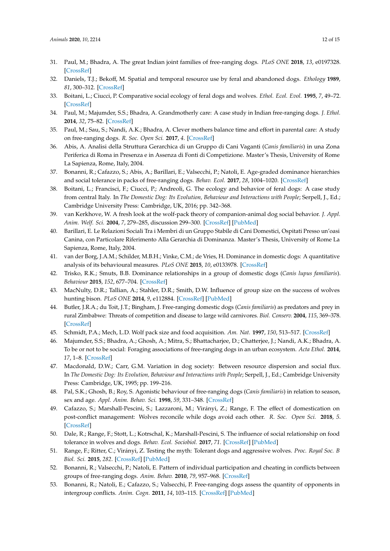- <span id="page-11-0"></span>31. Paul, M.; Bhadra, A. The great Indian joint families of free-ranging dogs. *PLoS ONE* **2018**, *13*, e0197328. [\[CrossRef\]](http://dx.doi.org/10.1371/journal.pone.0197328)
- <span id="page-11-17"></span>32. Daniels, T.J.; Bekoff, M. Spatial and temporal resource use by feral and abandoned dogs. *Ethology* **1989**, *81*, 300–312. [\[CrossRef\]](http://dx.doi.org/10.1111/j.1439-0310.1989.tb00776.x)
- <span id="page-11-4"></span>33. Boitani, L.; Ciucci, P. Comparative social ecology of feral dogs and wolves. *Ethol. Ecol. Evol.* **1995**, *7*, 49–72. [\[CrossRef\]](http://dx.doi.org/10.1080/08927014.1995.9522969)
- 34. Paul, M.; Majumder, S.S.; Bhadra, A. Grandmotherly care: A case study in Indian free-ranging dogs. *J. Ethol.* **2014**, *32*, 75–82. [\[CrossRef\]](http://dx.doi.org/10.1007/s10164-014-0396-2)
- <span id="page-11-1"></span>35. Paul, M.; Sau, S.; Nandi, A.K.; Bhadra, A. Clever mothers balance time and effort in parental care: A study on free-ranging dogs. *R. Soc. Open Sci.* **2017**, *4*. [\[CrossRef\]](http://dx.doi.org/10.1098/rsos.160583)
- <span id="page-11-2"></span>36. Abis, A. Analisi della Struttura Gerarchica di un Gruppo di Cani Vaganti (*Canis familiaris*) in una Zona Periferica di Roma in Presenza e in Assenza di Fonti di Competizione. Master's Thesis, University of Rome La Sapienza, Rome, Italy, 2004.
- <span id="page-11-3"></span>37. Bonanni, R.; Cafazzo, S.; Abis, A.; Barillari, E.; Valsecchi, P.; Natoli, E. Age-graded dominance hierarchies and social tolerance in packs of free-ranging dogs. *Behav. Ecol.* **2017**, *28*, 1004–1020. [\[CrossRef\]](http://dx.doi.org/10.1093/beheco/arx059)
- <span id="page-11-5"></span>38. Boitani, L.; Francisci, F.; Ciucci, P.; Andreoli, G. The ecology and behavior of feral dogs: A case study from central Italy. In *The Domestic Dog: Its Evolution, Behaviour and Interactions with People*; Serpell, J., Ed.; Cambridge University Press: Cambridge, UK, 2016; pp. 342–368.
- <span id="page-11-6"></span>39. van Kerkhove, W. A fresh look at the wolf-pack theory of companion-animal dog social behavior. *J. Appl. Anim. Welf. Sci.* **2004**, *7*, 279–285, discussion 299–300. [\[CrossRef\]](http://dx.doi.org/10.1207/s15327604jaws0704_7) [\[PubMed\]](http://www.ncbi.nlm.nih.gov/pubmed/15857815)
- <span id="page-11-7"></span>40. Barillari, E. Le Relazioni Sociali Tra i Membri di un Gruppo Stabile di Cani Domestici, Ospitati Presso un'oasi Canina, con Particolare Riferimento Alla Gerarchia di Dominanza. Master's Thesis, University of Rome La Sapienza, Rome, Italy, 2004.
- 41. van der Borg, J.A.M.; Schilder, M.B.H.; Vinke, C.M.; de Vries, H. Dominance in domestic dogs: A quantitative analysis of its behavioural measures. *PLoS ONE* **2015**, *10*, e0133978. [\[CrossRef\]](http://dx.doi.org/10.1371/journal.pone.0133978)
- <span id="page-11-8"></span>42. Trisko, R.K.; Smuts, B.B. Dominance relationships in a group of domestic dogs (*Canis lupus familiaris*). *Behaviour* **2015**, *152*, 677–704. [\[CrossRef\]](http://dx.doi.org/10.1163/1568539X-00003249)
- <span id="page-11-9"></span>43. MacNulty, D.R.; Tallian, A.; Stahler, D.R.; Smith, D.W. Influence of group size on the success of wolves hunting bison. *PLoS ONE* **2014**, *9*, e112884. [\[CrossRef\]](http://dx.doi.org/10.1371/journal.pone.0112884) [\[PubMed\]](http://www.ncbi.nlm.nih.gov/pubmed/25389760)
- <span id="page-11-10"></span>44. Butler, J.R.A.; du Toit, J.T.; Bingham, J. Free-ranging domestic dogs (*Canis familiaris*) as predators and prey in rural Zimbabwe: Threats of competition and disease to large wild carnivores. *Biol. Conserv.* **2004**, *115*, 369–378. [\[CrossRef\]](http://dx.doi.org/10.1016/S0006-3207(03)00152-6)
- <span id="page-11-11"></span>45. Schmidt, P.A.; Mech, L.D. Wolf pack size and food acquisition. *Am. Nat.* **1997**, *150*, 513–517. [\[CrossRef\]](http://dx.doi.org/10.1086/286079)
- <span id="page-11-12"></span>46. Majumder, S.S.; Bhadra, A.; Ghosh, A.; Mitra, S.; Bhattacharjee, D.; Chatterjee, J.; Nandi, A.K.; Bhadra, A. To be or not to be social: Foraging associations of free-ranging dogs in an urban ecosystem. *Acta Ethol.* **2014**, *17*, 1–8. [\[CrossRef\]](http://dx.doi.org/10.1007/s10211-013-0158-0)
- <span id="page-11-13"></span>47. Macdonald, D.W.; Carr, G.M. Variation in dog society: Between resource dispersion and social flux. In *The Domestic Dog: Its Evolution, Behaviour and Interactions with People; Serpell, J., Ed.; Cambridge University* Press: Cambridge, UK, 1995; pp. 199–216.
- <span id="page-11-14"></span>48. Pal, S.K.; Ghosh, B.; Roy, S. Agonistic behaviour of free-ranging dogs (*Canis familiaris*) in relation to season, sex and age. *Appl. Anim. Behav. Sci.* **1998**, *59*, 331–348. [\[CrossRef\]](http://dx.doi.org/10.1016/S0168-1591(98)00108-7)
- <span id="page-11-15"></span>49. Cafazzo, S.; Marshall-Pescini, S.; Lazzaroni, M.; Virányi, Z.; Range, F. The effect of domestication on post-conflict management: Wolves reconcile while dogs avoid each other. *R. Soc. Open Sci.* **2018**, *5*. [\[CrossRef\]](http://dx.doi.org/10.1098/rsos.171553)
- 50. Dale, R.; Range, F.; Stott, L.; Kotrschal, K.; Marshall-Pescini, S. The influence of social relationship on food tolerance in wolves and dogs. *Behav. Ecol. Sociobiol.* **2017**, *71*. [\[CrossRef\]](http://dx.doi.org/10.1007/s00265-017-2339-8) [\[PubMed\]](http://www.ncbi.nlm.nih.gov/pubmed/28725102)
- <span id="page-11-16"></span>51. Range, F.; Ritter, C.; Virányi, Z. Testing the myth: Tolerant dogs and aggressive wolves. *Proc. Royal Soc. B Biol. Sci.* **2015**, *282*. [\[CrossRef\]](http://dx.doi.org/10.1098/rspb.2015.0220) [\[PubMed\]](http://www.ncbi.nlm.nih.gov/pubmed/25904666)
- <span id="page-11-18"></span>52. Bonanni, R.; Valsecchi, P.; Natoli, E. Pattern of individual participation and cheating in conflicts between groups of free-ranging dogs. *Anim. Behav.* **2010**, *79*, 957–968. [\[CrossRef\]](http://dx.doi.org/10.1016/j.anbehav.2010.01.016)
- <span id="page-11-19"></span>53. Bonanni, R.; Natoli, E.; Cafazzo, S.; Valsecchi, P. Free-ranging dogs assess the quantity of opponents in intergroup conflicts. *Anim. Cogn.* **2011**, *14*, 103–115. [\[CrossRef\]](http://dx.doi.org/10.1007/s10071-010-0348-3) [\[PubMed\]](http://www.ncbi.nlm.nih.gov/pubmed/20845053)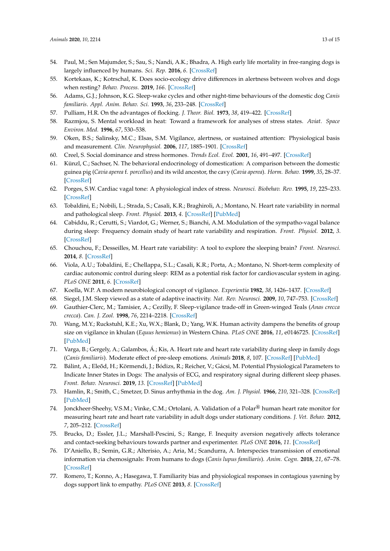- <span id="page-12-0"></span>54. Paul, M.; Sen Majumder, S.; Sau, S.; Nandi, A.K.; Bhadra, A. High early life mortality in free-ranging dogs is largely influenced by humans. *Sci. Rep.* **2016**, *6*. [\[CrossRef\]](http://dx.doi.org/10.1038/srep19641)
- <span id="page-12-1"></span>55. Kortekaas, K.; Kotrschal, K. Does socio-ecology drive differences in alertness between wolves and dogs when resting? *Behav. Process.* **2019**, *166*. [\[CrossRef\]](http://dx.doi.org/10.1016/j.beproc.2019.05.024)
- <span id="page-12-2"></span>56. Adams, G.J.; Johnson, K.G. Sleep-wake cycles and other night-time behaviours of the domestic dog *Canis familiaris*. *Appl. Anim. Behav. Sci.* **1993**, *36*, 233–248. [\[CrossRef\]](http://dx.doi.org/10.1016/0168-1591(93)90013-F)
- <span id="page-12-3"></span>57. Pulliam, H.R. On the advantages of flocking. *J. Theor. Biol.* **1973**, *38*, 419–422. [\[CrossRef\]](http://dx.doi.org/10.1016/0022-5193(73)90184-7)
- <span id="page-12-4"></span>58. Razmjou, S. Mental workload in heat: Toward a framework for analyses of stress states. *Aviat. Space Environ. Med.* **1996**, *67*, 530–538.
- <span id="page-12-5"></span>59. Oken, B.S.; Salinsky, M.C.; Elsas, S.M. Vigilance, alertness, or sustained attention: Physiological basis and measurement. *Clin. Neurophysiol.* **2006**, *117*, 1885–1901. [\[CrossRef\]](http://dx.doi.org/10.1016/j.clinph.2006.01.017)
- <span id="page-12-6"></span>60. Creel, S. Social dominance and stress hormones. *Trends Ecol. Evol.* **2001**, *16*, 491–497. [\[CrossRef\]](http://dx.doi.org/10.1016/S0169-5347(01)02227-3)
- <span id="page-12-7"></span>61. Künzl, C.; Sachser, N. The behavioral endocrinology of domestication: A comparison between the domestic guinea pig (*Cavia aperea* f. *porcellus*) and its wild ancestor, the cavy (*Cavia aperea*). *Horm. Behav.* **1999**, *35*, 28–37. [\[CrossRef\]](http://dx.doi.org/10.1006/hbeh.1998.1493)
- <span id="page-12-8"></span>62. Porges, S.W. Cardiac vagal tone: A physiological index of stress. *Neurosci. Biobehav. Rev.* **1995**, *19*, 225–233. [\[CrossRef\]](http://dx.doi.org/10.1016/0149-7634(94)00066-A)
- <span id="page-12-9"></span>63. Tobaldini, E.; Nobili, L.; Strada, S.; Casali, K.R.; Braghiroli, A.; Montano, N. Heart rate variability in normal and pathological sleep. *Front. Physiol.* **2013**, *4*. [\[CrossRef\]](http://dx.doi.org/10.3389/fphys.2013.00294) [\[PubMed\]](http://www.ncbi.nlm.nih.gov/pubmed/24137133)
- <span id="page-12-10"></span>64. Cabiddu, R.; Cerutti, S.; Viardot, G.; Werner, S.; Bianchi, A.M. Modulation of the sympatho-vagal balance during sleep: Frequency domain study of heart rate variability and respiration. *Front. Physiol.* **2012**, *3*. [\[CrossRef\]](http://dx.doi.org/10.3389/fphys.2012.00045)
- 65. Chouchou, F.; Desseilles, M. Heart rate variability: A tool to explore the sleeping brain? *Front. Neurosci.* **2014**, *8*. [\[CrossRef\]](http://dx.doi.org/10.3389/fnins.2014.00402)
- <span id="page-12-11"></span>66. Viola, A.U.; Tobaldini, E.; Chellappa, S.L.; Casali, K.R.; Porta, A.; Montano, N. Short-term complexity of cardiac autonomic control during sleep: REM as a potential risk factor for cardiovascular system in aging. *PLoS ONE* **2011**, *6*. [\[CrossRef\]](http://dx.doi.org/10.1371/journal.pone.0019002)
- 67. Koella, W.P. A modern neurobiological concept of vigilance. *Experientia* **1982**, *38*, 1426–1437. [\[CrossRef\]](http://dx.doi.org/10.1007/BF01955754)
- <span id="page-12-13"></span><span id="page-12-12"></span>68. Siegel, J.M. Sleep viewed as a state of adaptive inactivity. *Nat. Rev. Neurosci.* **2009**, *10*, 747–753. [\[CrossRef\]](http://dx.doi.org/10.1038/nrn2697)
- 69. Gauthier-Clerc, M.; Tamisier, A.; Cezilly, F. Sleep-vigilance trade-off in Green-winged Teals (*Anas crecca crecca*). *Can. J. Zool.* **1998**, *76*, 2214–2218. [\[CrossRef\]](http://dx.doi.org/10.1139/z98-166)
- <span id="page-12-14"></span>70. Wang, M.Y.; Ruckstuhl, K.E.; Xu, W.X.; Blank, D.; Yang, W.K. Human activity dampens the benefits of group size on vigilance in khulan (*Equus hemionus*) in Western China. *PLoS ONE* **2016**, *11*, e0146725. [\[CrossRef\]](http://dx.doi.org/10.1371/journal.pone.0146725) [\[PubMed\]](http://www.ncbi.nlm.nih.gov/pubmed/26756993)
- <span id="page-12-15"></span>71. Varga, B.; Gergely, A.; Galambos, Á.; Kis, A. Heart rate and heart rate variability during sleep in family dogs (*Canis familiaris*). Moderate effect of pre-sleep emotions. *Animals* **2018**, *8*, 107. [\[CrossRef\]](http://dx.doi.org/10.3390/ani8070107) [\[PubMed\]](http://www.ncbi.nlm.nih.gov/pubmed/30004461)
- <span id="page-12-16"></span>72. Bálint, A.; Eleőd, H.; Körmendi, J.; Bódizs, R.; Reicher, V.; Gácsi, M. Potential Physiological Parameters to Indicate Inner States in Dogs: The analysis of ECG, and respiratory signal during different sleep phases. *Front. Behav. Neurosci.* **2019**, *13*. [\[CrossRef\]](http://dx.doi.org/10.3389/fnbeh.2019.00207) [\[PubMed\]](http://www.ncbi.nlm.nih.gov/pubmed/31607871)
- <span id="page-12-17"></span>73. Hamlin, R.; Smith, C.; Smetzer, D. Sinus arrhythmia in the dog. *Am. J. Physiol.* **1966**, *210*, 321–328. [\[CrossRef\]](http://dx.doi.org/10.1152/ajplegacy.1966.210.2.321) [\[PubMed\]](http://www.ncbi.nlm.nih.gov/pubmed/5901470)
- <span id="page-12-18"></span>74. Jonckheer-Sheehy, V.S.M.; Vinke, C.M.; Ortolani, A. Validation of a Polar® human heart rate monitor for measuring heart rate and heart rate variability in adult dogs under stationary conditions. *J. Vet. Behav.* **2012**, *7*, 205–212. [\[CrossRef\]](http://dx.doi.org/10.1016/j.jveb.2011.10.006)
- <span id="page-12-19"></span>75. Brucks, D.; Essler, J.L.; Marshall-Pescini, S.; Range, F. Inequity aversion negatively affects tolerance and contact-seeking behaviours towards partner and experimenter. *PLoS ONE* **2016**, *11*. [\[CrossRef\]](http://dx.doi.org/10.1371/journal.pone.0153799)
- 76. D'Aniello, B.; Semin, G.R.; Alterisio, A.; Aria, M.; Scandurra, A. Interspecies transmission of emotional information via chemosignals: From humans to dogs (*Canis lupus familiaris*). *Anim. Cogn.* **2018**, *21*, 67–78. [\[CrossRef\]](http://dx.doi.org/10.1007/s10071-017-1139-x)
- 77. Romero, T.; Konno, A.; Hasegawa, T. Familiarity bias and physiological responses in contagious yawning by dogs support link to empathy. *PLoS ONE* **2013**, *8*. [\[CrossRef\]](http://dx.doi.org/10.1371/journal.pone.0071365)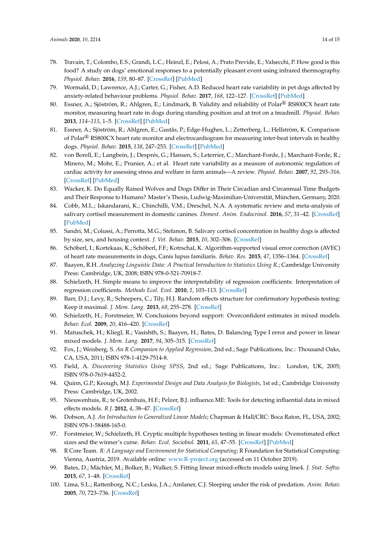- 78. Travain, T.; Colombo, E.S.; Grandi, L.C.; Heinzl, E.; Pelosi, A.; Prato Previde, E.; Valsecchi, P. How good is this food? A study on dogs' emotional responses to a potentially pleasant event using infrared thermography. *Physiol. Behav.* **2016**, *159*, 80–87. [\[CrossRef\]](http://dx.doi.org/10.1016/j.physbeh.2016.03.019) [\[PubMed\]](http://www.ncbi.nlm.nih.gov/pubmed/26996276)
- <span id="page-13-0"></span>79. Wormald, D.; Lawrence, A.J.; Carter, G.; Fisher, A.D. Reduced heart rate variability in pet dogs affected by anxiety-related behaviour problems. *Physiol. Behav.* **2017**, *168*, 122–127. [\[CrossRef\]](http://dx.doi.org/10.1016/j.physbeh.2016.11.003) [\[PubMed\]](http://www.ncbi.nlm.nih.gov/pubmed/27838312)
- <span id="page-13-1"></span>80. Essner, A.; Sjöström, R.; Ahlgren, E.; Lindmark, B. Validity and reliability of Polar® RS800CX heart rate monitor, measuring heart rate in dogs during standing position and at trot on a treadmill. *Physiol. Behav.* **2013**, *114–115*, 1–5. [\[CrossRef\]](http://dx.doi.org/10.1016/j.physbeh.2013.03.002) [\[PubMed\]](http://www.ncbi.nlm.nih.gov/pubmed/23499770)
- <span id="page-13-2"></span>81. Essner, A.; Sjöström, R.; Ahlgren, E.; Gustås, P.; Edge-Hughes, L.; Zetterberg, L.; Hellström, K. Comparison of Polar® RS800CX heart rate monitor and electrocardiogram for measuring inter-beat intervals in healthy dogs. *Physiol. Behav.* **2015**, *138*, 247–253. [\[CrossRef\]](http://dx.doi.org/10.1016/j.physbeh.2014.10.034) [\[PubMed\]](http://www.ncbi.nlm.nih.gov/pubmed/25446208)
- <span id="page-13-3"></span>82. von Borell, E.; Langbein, J.; Després, G.; Hansen, S.; Leterrier, C.; Marchant-Forde, J.; Marchant-Forde, R.; Minero, M.; Mohr, E.; Prunier, A.; et al. Heart rate variability as a measure of autonomic regulation of cardiac activity for assessing stress and welfare in farm animals—A review. *Physiol. Behav.* **2007**, *92*, 293–316. [\[CrossRef\]](http://dx.doi.org/10.1016/j.physbeh.2007.01.007) [\[PubMed\]](http://www.ncbi.nlm.nih.gov/pubmed/17320122)
- <span id="page-13-4"></span>83. Wacker, K. Do Equally Raised Wolves and Dogs Differ in Their Circadian and Circannual Time Budgets and Their Response to Humans? Master's Thesis, Ludwig-Maximilian-Universität, München, Germany, 2020.
- <span id="page-13-5"></span>84. Cobb, M.L.; Iskandarani, K.; Chinchilli, V.M.; Dreschel, N.A. A systematic review and meta-analysis of salivary cortisol measurement in domestic canines. *Domest. Anim. Endocrinol.* **2016**, *57*, 31–42. [\[CrossRef\]](http://dx.doi.org/10.1016/j.domaniend.2016.04.003) [\[PubMed\]](http://www.ncbi.nlm.nih.gov/pubmed/27315597)
- <span id="page-13-6"></span>85. Sandri, M.; Colussi, A.; Perrotta, M.G.; Stefanon, B. Salivary cortisol concentration in healthy dogs is affected by size, sex, and housing context. *J. Vet. Behav.* **2015**, *10*, 302–306. [\[CrossRef\]](http://dx.doi.org/10.1016/j.jveb.2015.03.011)
- <span id="page-13-7"></span>86. Schöberl, I.; Kortekaas, K.; Schöberl, F.F.; Kotrschal, K. Algorithm-supported visual error correction (AVEC) of heart rate measurements in dogs, Canis lupus familiaris. *Behav. Res.* **2015**, *47*, 1356–1364. [\[CrossRef\]](http://dx.doi.org/10.3758/s13428-014-0546-z)
- <span id="page-13-8"></span>87. Baayen, R.H. *Analyzing Linguistic Data: A Practical Introduction to Statistics Using R.*; Cambridge University Press: Cambridge, UK, 2008; ISBN 978-0-521-70918-7.
- <span id="page-13-9"></span>88. Schielzeth, H. Simple means to improve the interpretability of regression coefficients: Interpretation of regression coefficients. *Methods Ecol. Evol.* **2010**, *1*, 103–113. [\[CrossRef\]](http://dx.doi.org/10.1111/j.2041-210X.2010.00012.x)
- <span id="page-13-10"></span>89. Barr, D.J.; Levy, R.; Scheepers, C.; Tily, H.J. Random effects structure for confirmatory hypothesis testing: Keep it maximal. *J. Mem. Lang.* **2013**, *68*, 255–278. [\[CrossRef\]](http://dx.doi.org/10.1016/j.jml.2012.11.001)
- <span id="page-13-11"></span>90. Schielzeth, H.; Forstmeier, W. Conclusions beyond support: Overconfident estimates in mixed models. *Behav. Ecol.* **2009**, *20*, 416–420. [\[CrossRef\]](http://dx.doi.org/10.1093/beheco/arn145)
- <span id="page-13-12"></span>91. Matuschek, H.; Kliegl, R.; Vasishth, S.; Baayen, H.; Bates, D. Balancing Type I error and power in linear mixed models. *J. Mem. Lang.* **2017**, *94*, 305–315. [\[CrossRef\]](http://dx.doi.org/10.1016/j.jml.2017.01.001)
- <span id="page-13-13"></span>92. Fox, J.; Weisberg, S. *An R Companion to Applied Regression*, 2nd ed.; Sage Publications, Inc.: Thousand Oaks, CA, USA, 2011; ISBN 978-1-4129-7514-8.
- <span id="page-13-14"></span>93. Field, A. *Discovering Statistics Using SPSS*, 2nd ed.; Sage Publications, Inc.: London, UK, 2005; ISBN 978-0-7619-4452-2.
- <span id="page-13-15"></span>94. Quinn, G.P.; Keough, M.J. *Experimental Design and Data Analysis for Biologists*, 1st ed.; Cambridge University Press: Cambridge, UK, 2002.
- <span id="page-13-16"></span>95. Nieuwenhuis, R.; te Grotenhuis, H.F.; Pelzer, B.J. influence.ME: Tools for detecting influential data in mixed effects models. *R J.* **2012**, *4*, 38–47. [\[CrossRef\]](http://dx.doi.org/10.32614/RJ-2012-011)
- <span id="page-13-17"></span>96. Dobson, A.J. *An Introduction to Generalized Linear Models*; Chapman & Hall/CRC: Boca Raton, FL, USA, 2002; ISBN 978-1-58488-165-0.
- <span id="page-13-18"></span>97. Forstmeier, W.; Schielzeth, H. Cryptic multiple hypotheses testing in linear models: Overestimated effect sizes and the winner's curse. *Behav. Ecol. Sociobiol.* **2011**, *65*, 47–55. [\[CrossRef\]](http://dx.doi.org/10.1007/s00265-010-1038-5) [\[PubMed\]](http://www.ncbi.nlm.nih.gov/pubmed/21297852)
- <span id="page-13-19"></span>98. R Core Team. *R: A Language and Environment for Statistical Computing*; R Foundation for Statistical Computing: Vienna, Austria, 2019. Available online: <www.R-project.org> (accessed on 11 October 2019).
- <span id="page-13-20"></span>99. Bates, D.; Mächler, M.; Bolker, B.; Walker, S. Fitting linear mixed-effects models using lme4. *J. Stat. Softw.* **2015**, *67*, 1–48. [\[CrossRef\]](http://dx.doi.org/10.18637/jss.v067.i01)
- <span id="page-13-21"></span>100. Lima, S.L.; Rattenborg, N.C.; Lesku, J.A.; Amlaner, C.J. Sleeping under the risk of predation. *Anim. Behav.* **2005**, *70*, 723–736. [\[CrossRef\]](http://dx.doi.org/10.1016/j.anbehav.2005.01.008)